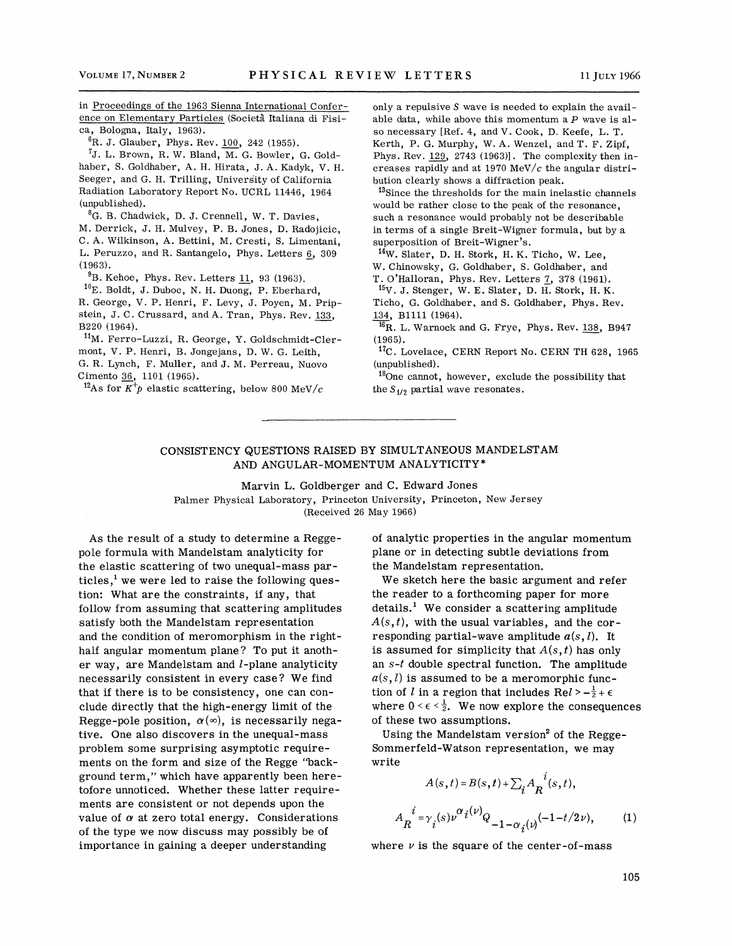in Proceedings of the 1963 Sienna International Conference on Elementary Particles (Societa Italiana di Fisica, Bologna, Italy, 1963).

 ${}^{6}$ R. J. Glauber, Phys. Rev. 100, 242 (1955).

<sup>7</sup>J. L. Brown, R. W. Bland, M. G. Bowler, G. Goldhaber, S. Goldhaber, A. H. Hirata, J. A. Kadyk, V. H. Seeger, and G. H. Trilling, University of California Radiation Laboratory Report No. UCRL 11446, 1964 (unpublished).

8G. B. Chadwick, D. J. Crennell, W. T. Davies,

M. Derrick, J. H. Mulvey, P. B. Jones, D. Radojicic, C. A. Wilkinson, A. Bettini, M. Cresti, S. Limentani, L. Peruzzo, and R. Santangelo, Phys. Letters 6, 309  $(1963).$ 

 $^{9}$ B. Kehoe, Phys. Rev. Letters 11, 93 (1963).

 $10$ E. Boldt, J. Duboc, N. H. Duong, P. Eberhard, R. George, V. P. Henri, F. Levy, J. Poyen, M. Pripstein, J. C. Crussard, and A. Tran, Phys. Rev. 133, B220 (1964).

11M. Ferro-Luzzi, R. George, Y. Goldschmidt-Clermont, V. P. Henri, B. Jongejans, D. W. G. Leith, G. R. Lynch, F. Muller, and J. M. Perreau, Nuovo Cimento 36, 1101 (1965).

<sup>12</sup>As for  $K^{\dagger}p$  elastic scattering, below 800 MeV/c

only a repulsive *S* wave is needed to explain the available data, while above this momentum a P wave is also necessary [Ref. 4, and V. Cook, D. Keefe, L. T. Kerth, P. G. Murphy, W. A. Wenzel, and T. F. Zipf, Phys. Rev. 129, 2743 (1963)]. The complexity then increases rapidly and at 1970 MeV/ $c$  the angular distribution clearly shows a diffraction peak.

13Since the thresholds for the main inelastic channels would be rather close to the peak of the resonance, such a resonance would probably not be describable in terms of a single Breit-Wigner formula, but by a superposition of Breit-Wigner's.

14w. Slater, D. H. Stork, H. K. Ticho, W. Lee, W. Chinowsky, G. Goldhaber, S. Goldhaber, and T. O'Halloran, Phys. Rev. Letters 7, 378 (1961).

 $15V.$  J. Stenger, W. E. Slater, D. H. Stork, H. K. Ticho, G. Goldhaber, and S. Goldhaber, Phys. Rev.

134, B1111 (1964).

 $^{16}$ R. L. Warnock and G. Frye, Phys. Rev.  $138$ , B947 (1965).

17c. Lovelace, CERN Report No. CERN TH 628, 1965 (unpublished).

180ne cannot, however, exclude the possibility that the  $S_{1/2}$  partial wave resonates.

## CONSISTENCY QUESTIONS RAISED BY SIMULTANEOUS MANDELSTAM AND ANGULAR-MOMENTUM ANALYTICITY\*

Marvin L. Goldberger and C. Edward Jones Palmer Physical Laboratory, Princeton University, Princeton, New Jersey (Received 26 May 1966)

As the result of a study to determine a Reggepole formula with Mandelstam analyticity for the elastic scattering of two unequal-mass particles.<sup>1</sup> we were led to raise the following question: What are the constraints, if any, that follow from assuming that scattering amplitudes satisfy both the Mandelstam representation and the condition of meromorphism in the righthalf angular momentum plane? To put it another way, are Mandelstam and  $l$ -plane analyticity necessarily consistent in every case? We find that if there is to be consistency, one can conclude directly that the high-energy limit of the Regge-pole position,  $\alpha(\infty)$ , is necessarily negative. One also discovers in the unequal-mass problem some surprising asymptotic requirements on the form and size of the Regge ''background term," which have apparently been heretofore unnoticed. Whether these latter requirements are consistent or not depends upon the value of  $\alpha$  at zero total energy. Considerations of the type we now discuss may possibly be of importance in gaining a deeper understanding

of analytic properties in the angular momentum plane or in detecting subtle deviations from the Mandelstam representation.

We sketch here the basic argument and refer the reader to a forthcoming paper for more  $\delta$  details.<sup>1</sup> We consider a scattering amplitude  $A(s, t)$ , with the usual variables, and the corresponding partial-wave amplitude  $a(s, l)$ . It is assumed for simplicity that  $A(s,t)$  has only an  $s-t$  double spectral function. The amplitude  $a(s, l)$  is assumed to be a meromorphic function of l in a region that includes  $\text{Re} l > -\frac{1}{2} + \epsilon$ where  $0 \leq \epsilon \leq \frac{1}{2}$ . We now explore the consequences of these two assumptions.

Using the Mandelstam version<sup>2</sup> of the Regge-Sommerfeld-Watson representation, we may write

$$
A(s,t) = B(s,t) + \sum_{i} A_{R}^{i}(s,t),
$$
  

$$
A_{R}^{i} = \gamma_{i}(s)\nu^{\alpha}i^{(\nu)}Q_{-1-\alpha_{i}(\nu)}(-1-t/2\nu),
$$
 (1)

where  $\nu$  is the square of the center-of-mass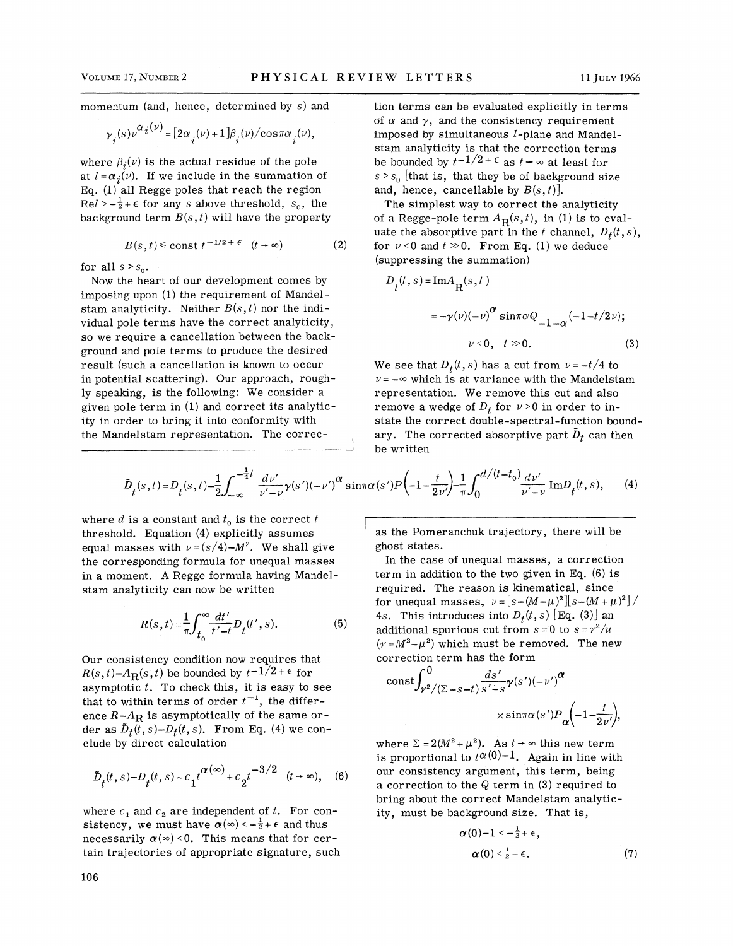momentum (and, hence, determined by s) and

$$
\gamma_i(s)\nu^{\alpha_i(\nu)} = \left[2\alpha_i(\nu) + 1\right]\beta_i(\nu)/\cos\pi\alpha_i(\nu),
$$

where  $\beta_i(v)$  is the actual residue of the pole at  $l = \alpha_j(v)$ . If we include in the summation of Eq. (1) all Regge poles that reach the region  $Rel > -\frac{1}{2} + \epsilon$  for any *s* above threshold, *s*<sub>0</sub>, the background term  $B(s, t)$  will have the property

$$
B(s,t) \le \text{const } t^{-1/2 + \epsilon} \quad (t \to \infty) \tag{2}
$$

for all  $s > s_0$ .

Now the heart of our development comes by imposing upon (1) the requirement of Mandelstam analyticity. Neither  $B(s,t)$  nor the individual pole terms have the correct analyticity, so we require a cancellation between the background and pole terms to produce the desired result (such a cancellation is known to occur in potential scattering). Our approach, roughly speaking, is the following: We consider a given pole term in (1) and correct its analyticity in order to bring it into conformity with the Mandelstam representation. The correction terms can be evaluated explicitly in terms of  $\alpha$  and  $\gamma$ , and the consistency requirement imposed by simultaneous  $l$ -plane and Mandelstam analyticity is that the correction terms be bounded by  $t^{-1/2 + \epsilon}$  as  $t \to \infty$  at least for  $s > s_0$  [that is, that they be of background size and, hence, cancellable by  $B(s, t)$ .

The simplest way to correct the analyticity of a Regge-pole term  $A_R(s,t)$ , in (1) is to evaluate the absorptive part in the t channel,  $D_t(t, s)$ , for  $\nu < 0$  and  $t \gg 0$ . From Eq. (1) we deduce (suppressing the summation)

$$
D_{t}(t, s) = \text{Im}A_{R}(s, t)
$$
  

$$
= -\gamma(\nu)(-\nu)^{\alpha} \sin \pi \alpha Q_{-1-\alpha}(-1-t/2\nu);
$$
  

$$
\nu < 0, t \gg 0.
$$
 (3)

We see that  $D_t(t,s)$  has a cut from  $\nu = -t/4$  to  $\nu = -\infty$  which is at variance with the Mandelstam representation. We remove this cut and also remove a wedge of  $D_t$  for  $\nu > 0$  in order to instate the correct double-spectral-function boundary. The corrected absorptive part  $\bar{D}_t$  can then be written

$$
\tilde{D}_t(s,t) = D_t(s,t) - \frac{1}{2} \int_{-\infty}^{-\frac{1}{4}t} \frac{d\nu'}{\nu' - \nu} \gamma(s') (-\nu')^{\alpha} \sin \pi \alpha(s') P\left(-1 - \frac{t}{2\nu'}\right) - \frac{1}{\pi} \int_0^{d/(t-t_0)} \frac{d\nu'}{\nu' - \nu} \operatorname{Im} D_t(t,s),\tag{4}
$$

where *d* is a constant and  $t_0$  is the correct *t* threshold. Equation (4) explicitly assumes equal masses with  $\nu = (s/4)-M^2$ . We shall give the corresponding formula for unequal masses in a moment. A Regge formula having Mandelstam analyticity can now be written

$$
R(s,t) = \frac{1}{\pi} \int_{t_0}^{\infty} \frac{dt'}{t'-t} D_t(t',s).
$$
 (5)

Our consistency condition now requires that  $R(s,t)$ - $A_R(s,t)$  be bounded by  $t^{-1/2+\epsilon}$  for asymptotic *t.* To check this, it is easy to see that to within terms of order  $t^{-1}$ , the difference  $R-A_R$  is asymptotically of the same order as  $\tilde{D}_t(t,s)-D_t(t,s)$ . From Eq. (4) we conclude by direct calculation

$$
\tilde{D}_t(t,s) - D_t(t,s) \sim c_1 t^{\alpha(\infty)} + c_2 t^{-3/2} \quad (t \to \infty), \quad (6)
$$

where  $c_1$  and  $c_2$  are independent of t. For consistency, we must have  $\alpha(\infty) < -\frac{1}{2} + \epsilon$  and thus necessarily  $\alpha(\infty) < 0$ . This means that for certain trajectories of appropriate signature, such

as the Pomeranchuk trajectory, there will be ghost states.

In the case of unequal masses, a correction term in addition to the two given in Eq. (6) is required. The reason is kinematical, since for unequal masses,  $\nu=[s-(M-\mu)^2][s-(M+\mu)^2]/2$ 4s. This introduces into  $D_t(t,s)$  [Eq. (3)] an additional spurious cut from  $s = 0$  to  $s = r^2/u$  $(r=M^2-\mu^2)$  which must be removed. The new correction term has the form

$$
\operatorname{const} \int_{r^2/(2-s-t)}^0 \frac{ds'}{s'-s} \gamma(s') (-\nu')^{\alpha}
$$
  
× sinπα(s')P<sub>α</sub> $\left(-1 - \frac{t}{2\nu'}\right)$ ,

where  $\Sigma = 2(M^2 + \mu^2)$ . As  $t \rightarrow \infty$  this new term is proportional to  $t^{\alpha(0)-1}$ . Again in line with our consistency argument, this term, being a correction to the  $Q$  term in (3) required to bring about the correct Mandelstam analyticity, must be background size. That is,

$$
\alpha(0)-1<-\frac{1}{2}+\epsilon,
$$
  
\n
$$
\alpha(0)<\frac{1}{2}+\epsilon.
$$
\n(7)